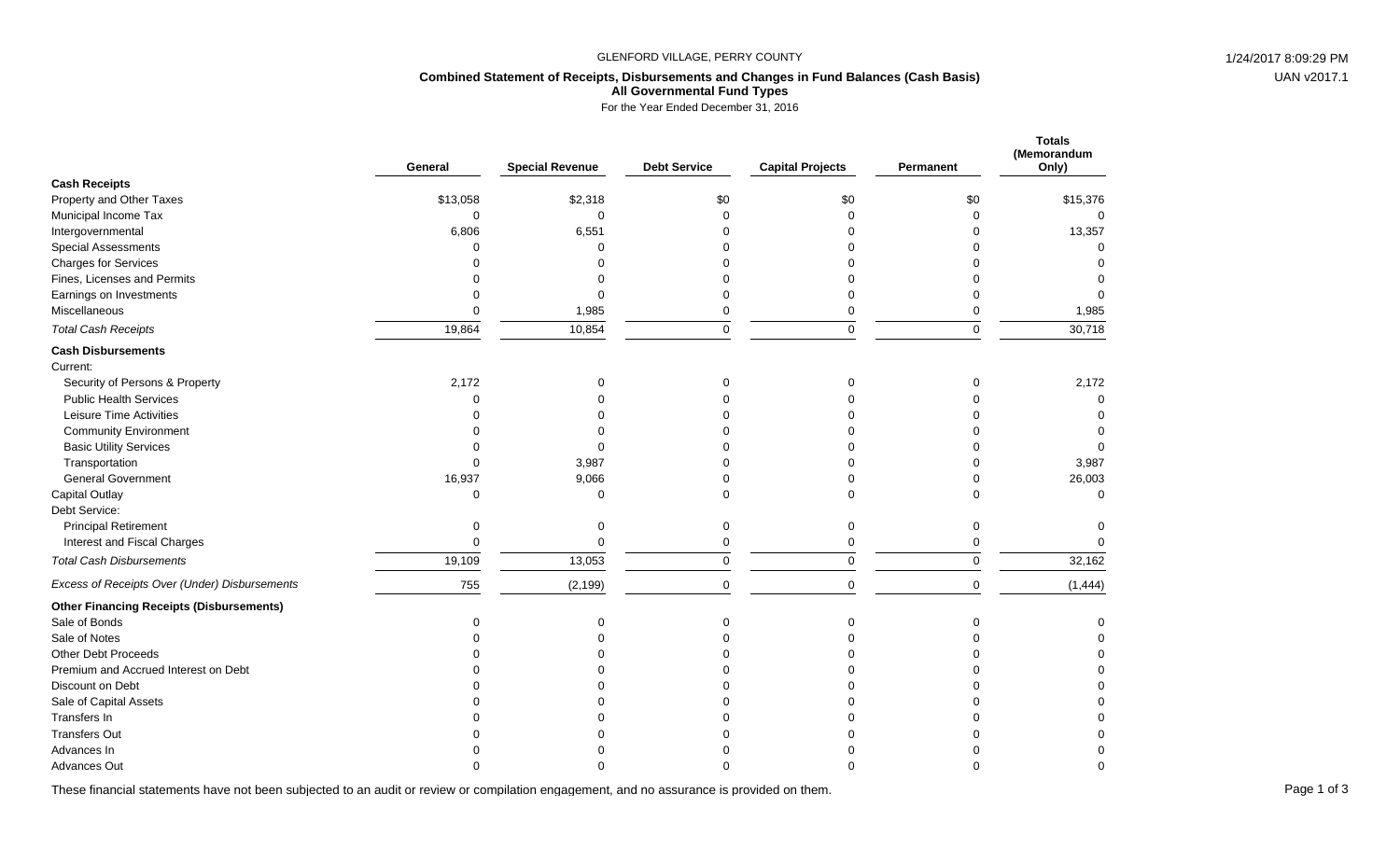#### GLENFORD VILLAGE, PERRY COUNTY **1/24/2017 8:09:29 PM**

# UAN v2017.1

### **Combined Statement of Receipts, Disbursements and Changes in Fund Balances (Cash Basis) All Governmental Fund Types**

For the Year Ended December 31, 2016

|                                                 | General     | <b>Special Revenue</b> | <b>Debt Service</b> | <b>Capital Projects</b> | Permanent   | <b>Totals</b><br>(Memorandum<br>Only) |
|-------------------------------------------------|-------------|------------------------|---------------------|-------------------------|-------------|---------------------------------------|
| <b>Cash Receipts</b>                            |             |                        |                     |                         |             |                                       |
| Property and Other Taxes                        | \$13,058    | \$2,318                | \$0                 | \$0                     | \$0         | \$15,376                              |
| Municipal Income Tax                            | $\mathbf 0$ | $\Omega$               | $\Omega$            | $\Omega$                | $\Omega$    | $\mathbf 0$                           |
| Intergovernmental                               | 6,806       | 6,551                  |                     |                         | $\Omega$    | 13,357                                |
| <b>Special Assessments</b>                      | $\Omega$    | $\Omega$               |                     |                         | ∩           | $\Omega$                              |
| <b>Charges for Services</b>                     |             | ∩                      |                     |                         | ∩           | $\Omega$                              |
| Fines, Licenses and Permits                     |             | ∩                      |                     |                         |             | $\Omega$                              |
| Earnings on Investments                         | $\Omega$    | 0                      | 0                   |                         | $\Omega$    | $\Omega$                              |
| Miscellaneous                                   | $\Omega$    | 1,985                  | $\Omega$            | 0                       | $\mathbf 0$ | 1,985                                 |
| <b>Total Cash Receipts</b>                      | 19,864      | 10,854                 | $\pmb{0}$           | $\pmb{0}$               | $\pmb{0}$   | 30,718                                |
| <b>Cash Disbursements</b>                       |             |                        |                     |                         |             |                                       |
| Current:                                        |             |                        |                     |                         |             |                                       |
| Security of Persons & Property                  | 2,172       | 0                      | $\Omega$            |                         | $\Omega$    | 2,172                                 |
| <b>Public Health Services</b>                   | $\Omega$    | $\Omega$               |                     |                         | $\Omega$    | $\Omega$                              |
| Leisure Time Activities                         |             |                        |                     |                         | ∩           | $\Omega$                              |
| <b>Community Environment</b>                    | $\Omega$    |                        |                     |                         | $\Omega$    | $\Omega$                              |
| <b>Basic Utility Services</b>                   | $\Omega$    | ∩                      |                     |                         | $\Omega$    | $\Omega$                              |
| Transportation                                  | $\Omega$    | 3,987                  |                     |                         | $\Omega$    | 3,987                                 |
| <b>General Government</b>                       | 16,937      | 9,066                  |                     |                         | $\Omega$    | 26,003                                |
| Capital Outlay                                  | $\Omega$    | $\Omega$               | $\Omega$            |                         | $\Omega$    | $\Omega$                              |
| Debt Service:                                   |             |                        |                     |                         |             |                                       |
| <b>Principal Retirement</b>                     | 0           | 0                      | 0                   | 0                       | $\mathbf 0$ | 0                                     |
| Interest and Fiscal Charges                     | $\Omega$    | $\Omega$               | $\mathbf 0$         | 0                       | $\mathbf 0$ |                                       |
| <b>Total Cash Disbursements</b>                 | 19,109      | 13,053                 | $\mathbf 0$         | $\mathbf 0$             | $\mathbf 0$ | 32,162                                |
| Excess of Receipts Over (Under) Disbursements   | 755         | (2, 199)               | $\Omega$            | $\mathbf 0$             | $\mathbf 0$ | (1, 444)                              |
| <b>Other Financing Receipts (Disbursements)</b> |             |                        |                     |                         |             |                                       |
| Sale of Bonds                                   | O           | ∩                      | $\Omega$            |                         | $\Omega$    | 0                                     |
| Sale of Notes                                   |             |                        |                     |                         | ∩           | $\Omega$                              |
| <b>Other Debt Proceeds</b>                      |             |                        |                     |                         | ∩           | $\Omega$                              |
| Premium and Accrued Interest on Debt            |             |                        |                     |                         |             | $\Omega$                              |
| Discount on Debt                                |             |                        |                     |                         | $\Omega$    | $\Omega$                              |
| Sale of Capital Assets                          | $\Omega$    |                        |                     |                         | $\Omega$    | $\mathbf 0$                           |
| Transfers In                                    |             |                        |                     |                         | $\Omega$    | $\Omega$                              |
| <b>Transfers Out</b>                            |             |                        |                     |                         |             |                                       |
| Advances In                                     |             |                        |                     |                         |             | $\Omega$                              |
| <b>Advances Out</b>                             |             |                        |                     |                         |             | ∩                                     |

These financial statements have not been subjected to an audit or review or compilation engagement, and no assurance is provided on them.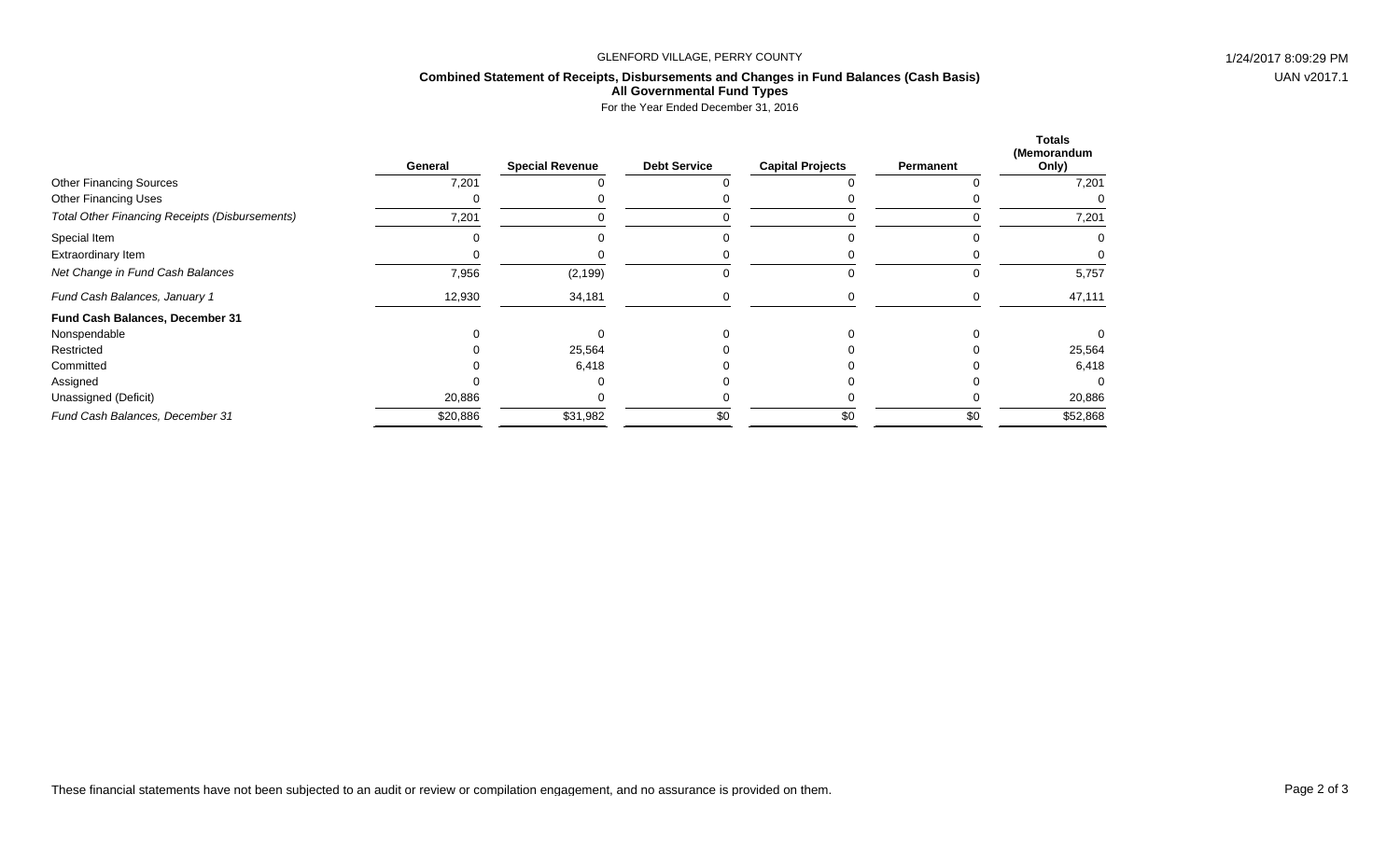#### GLENFORD VILLAGE, PERRY COUNTY **1/24/2017 8:09:29 PM**

#### **Combined Statement of Receipts, Disbursements and Changes in Fund Balances (Cash Basis) All Governmental Fund Types**

For the Year Ended December 31, 2016

|                                                | General  | <b>Special Revenue</b> | <b>Debt Service</b> | <b>Capital Projects</b> | Permanent | <b>Totals</b><br>(Memorandum<br>Only) |
|------------------------------------------------|----------|------------------------|---------------------|-------------------------|-----------|---------------------------------------|
| <b>Other Financing Sources</b>                 | 7,201    |                        |                     |                         |           | 7,201                                 |
| <b>Other Financing Uses</b>                    |          |                        |                     |                         |           |                                       |
| Total Other Financing Receipts (Disbursements) | 7,201    |                        |                     |                         |           | 7,201                                 |
| Special Item                                   |          |                        |                     |                         |           |                                       |
| Extraordinary Item                             |          |                        |                     |                         |           |                                       |
| Net Change in Fund Cash Balances               | 7,956    | (2, 199)               |                     | U                       | U         | 5,757                                 |
| Fund Cash Balances, January 1                  | 12,930   | 34,181                 |                     |                         | $\left($  | 47,111                                |
| Fund Cash Balances, December 31                |          |                        |                     |                         |           |                                       |
| Nonspendable                                   |          |                        |                     |                         |           |                                       |
| Restricted                                     |          | 25,564                 |                     |                         |           | 25,564                                |
| Committed                                      |          | 6,418                  |                     |                         |           | 6,418                                 |
| Assigned                                       |          |                        |                     |                         |           |                                       |
| Unassigned (Deficit)                           | 20,886   |                        |                     |                         |           | 20,886                                |
| Fund Cash Balances, December 31                | \$20,886 | \$31,982               | \$0                 | \$0                     | \$0       | \$52,868                              |